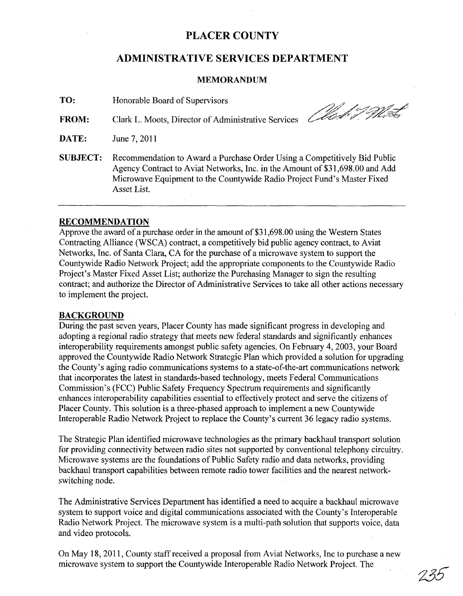## **PLACER COUNTY**

### **ADMINISTRATIVE SERVICES DEPARTMENT**

### **MEMORANDUM**

**TO:** Honorable Board of Supervisors

**FROM:** Clark L. Moots, Director of Administrative Services Charles The Most

- **DATE:** June 7, 2011
- **SUBJECT:** Recommendation to Award a Purchase Order Using a Competitively Bid Public Agency Contract to Aviat Networks, Inc. in the Amount of \$31 ,698.00 and Add Microwave Equipment to the Countywide Radio Project Fund's Master Fixed Asset List.

### **RECOMMENDATION**

Approve the award of a purchase order in the amount of \$31,698.00 using the Western States Contracting Alliance (WSCA) contract, a competitively bid public agency contract, to Aviat Networks, Inc. of Santa Clara, CA for the purchase of a microwave system to support the Countywide Radio Network Project; add the appropriate components to the Countywide Radio Project's Master Fixed Asset List; authorize the Purchasing Manager to sign the resulting contract; and authorize the Director of Administrative Services to take all other actions necessary to implement the project.

### **BACKGROUND**

During the past seven years, Placer County has made significant progress in developing and adopting a regional radio strategy that meets new federal standards and significantly enhances interoperability requirements amongst public safety agencies. On February 4, 2003, your Board approved the Countywide Radio Network Strategic Plan which provided a solution for upgrading the County's aging radio communications systems to a state-of-the-art communications network that incorporates the latest in standards-based technology, meets Federal Communications Commission's (FCC) Public Safety Frequency Spectrum requirements and significantly enhances interoperability capabilities essential to effectively protect and serve the citizens of Placer County. This solution is a three-phased approach to implement a new Countywide Interoperable Radio Network Project to replace the County's current 36 legacy radio systems.

The Strategic Plan identified microwave technologies as the primary backhaul transport solution for providing connectivity between radio sites not supported by conventional telephony circuitry. Microwave systems are the foundations of Public Safety radio and data networks, providing backhaul transport capabilities between remote radio tower facilities and the nearest networkswitching node.

The Administrative Services Department has identified a need to acquire a backhaul microwave system to support voice and digital communications associated with the County's Interoperable Radio Network Project. The microwave system is a multi-path solution that supports voice, data and video protocols.

On May 18,2011, County staff received a proposal from Aviat Networks, Inc to purchase a new microwave system to support the Countywide Interoperable Radio Network Project. The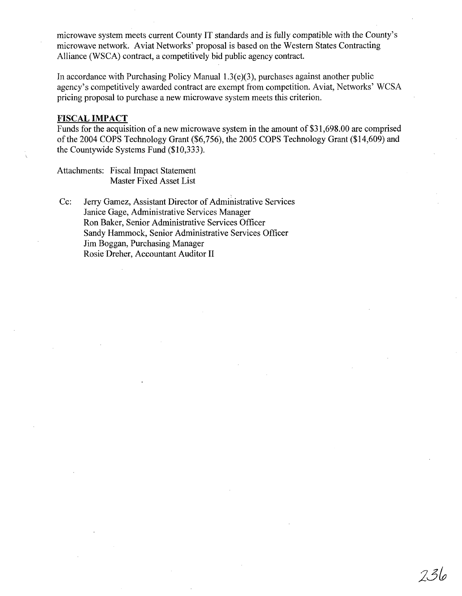microwave system meets current County IT standards and is fully compatible with the County's microwave network. Aviat Networks' proposal is based on the Western States Contracting Alliance (WSCA) contract, a competitively bid public agency contract.

In accordance with Purchasing Policy Manual  $1.3(e)(3)$ , purchases against another public agency's competitively awarded contract are exempt from competition. Aviat, Networks' WCSA pricing proposal to purchase a new microwave system meets this criterion.

#### **FISCAL IMPACT**

Funds for the acquisition of a new microwave system in the amount of \$31,698.00 are comprised of the 2004 COPS Technology Grant (\$6,756), the 2005 COPS Technology Grant (\$14,609) and the Countywide Systems Fund (\$10,333).

236

Attachments: Fiscal Impact Statement Master Fixed Asset List

Cc: Jerry Gamez, Assistant Director of Administrative Services Janice Gage, Administrative Services Manager Ron Baker, Senior Administrative Services Officer Sandy Hammock, Senior Administrative Services Officer Jim Boggan, Purchasing Manager Rosie Dreher, Accountant Auditor II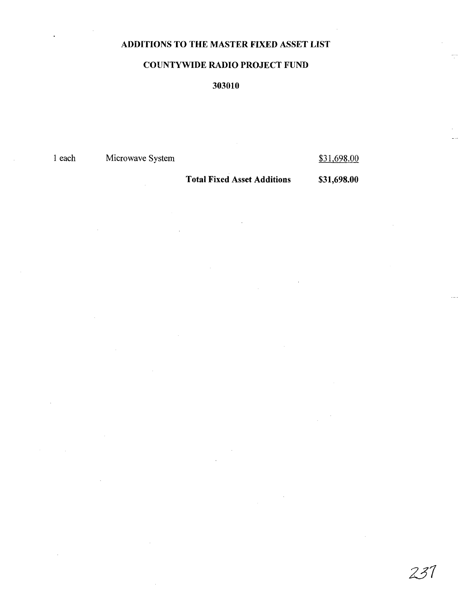## ADDITIONS TO THE MASTER FIXED ASSET LIST

### COUNTYWIDE RADIO PROJECT FUND

## 303010

1 each Microwave System

\$31,698.00

Total Fixed Asset Additions

\$31,698.00